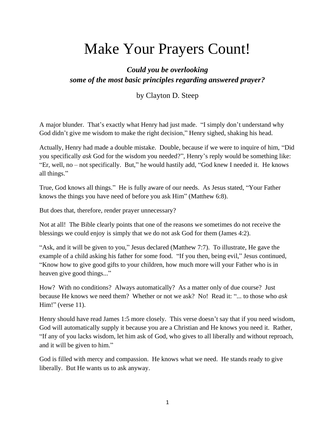# Make Your Prayers Count!

# *Could you be overlooking some of the most basic principles regarding answered prayer?*

by Clayton D. Steep

A major blunder. That's exactly what Henry had just made. "I simply don't understand why God didn't give me wisdom to make the right decision," Henry sighed, shaking his head.

Actually, Henry had made a double mistake. Double, because if we were to inquire of him, "Did you specifically *ask* God for the wisdom you needed?", Henry's reply would be something like: "Er, well, no – not specifically. But," he would hastily add, "God knew I needed it. He knows all things."

True, God knows all things." He is fully aware of our needs. As Jesus stated, "Your Father knows the things you have need of before you ask Him" (Matthew 6:8).

But does that, therefore, render prayer unnecessary?

Not at all! The Bible clearly points that one of the reasons we sometimes do not receive the blessings we could enjoy is simply that we do not ask God for them (James 4:2).

"Ask, and it will be given to you," Jesus declared (Matthew 7:7). To illustrate, He gave the example of a child asking his father for some food. "If you then, being evil," Jesus continued, "Know how to give good gifts to your children, how much more will your Father who is in heaven give good things..."

How? With no conditions? Always automatically? As a matter only of due course? Just because He knows we need them? Whether or not we ask? No! Read it: "... to those who *ask* Him!" (verse 11).

Henry should have read James 1:5 more closely. This verse doesn't say that if you need wisdom, God will automatically supply it because you are a Christian and He knows you need it. Rather, "If any of you lacks wisdom, let him ask of God, who gives to all liberally and without reproach, and it will be given to him."

God is filled with mercy and compassion. He knows what we need. He stands ready to give liberally. But He wants us to ask anyway.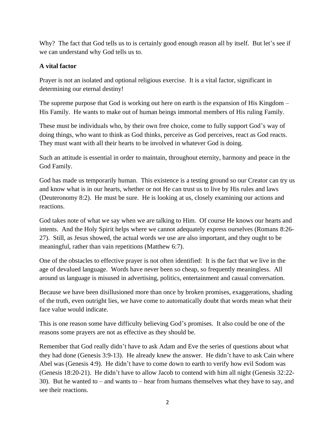Why? The fact that God tells us to is certainly good enough reason all by itself. But let's see if we can understand why God tells us to.

### **A vital factor**

Prayer is not an isolated and optional religious exercise. It is a vital factor, significant in determining our eternal destiny!

The supreme purpose that God is working out here on earth is the expansion of His Kingdom – His Family. He wants to make out of human beings immortal members of His ruling Family.

These must be individuals who, by their own free choice, come to fully support God's way of doing things, who want to think as God thinks, perceive as God perceives, react as God reacts. They must want with all their hearts to be involved in whatever God is doing.

Such an attitude is essential in order to maintain, throughout eternity, harmony and peace in the God Family.

God has made us temporarily human. This existence is a testing ground so our Creator can try us and know what is in our hearts, whether or not He can trust us to live by His rules and laws (Deuteronomy 8:2). He must be sure. He is looking at us, closely examining our actions and reactions.

God takes note of what we say when we are talking to Him. Of course He knows our hearts and intents. And the Holy Spirit helps where we cannot adequately express ourselves (Romans 8:26- 27). Still, as Jesus showed, the actual words we use are also important, and they ought to be meaningful, rather than vain repetitions (Matthew 6:7).

One of the obstacles to effective prayer is not often identified: It is the fact that we live in the age of devalued language. Words have never been so cheap, so frequently meaningless. All around us language is misused in advertising, politics, entertainment and casual conversation.

Because we have been disillusioned more than once by broken promises, exaggerations, shading of the truth, even outright lies, we have come to automatically doubt that words mean what their face value would indicate.

This is one reason some have difficulty believing God's promises. It also could be one of the reasons some prayers are not as effective as they should be.

Remember that God really didn't have to ask Adam and Eve the series of questions about what they had done (Genesis 3:9-13). He already knew the answer. He didn't have to ask Cain where Abel was (Genesis 4:9). He didn't have to come down to earth to verify how evil Sodom was (Genesis 18:20-21). He didn't have to allow Jacob to contend with him all night (Genesis 32:22- 30). But he wanted to – and wants to – hear from humans themselves what they have to say, and see their reactions.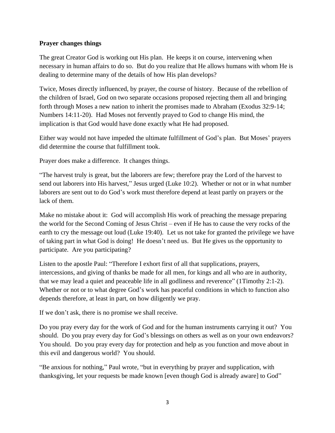#### **Prayer changes things**

The great Creator God is working out His plan. He keeps it on course, intervening when necessary in human affairs to do so. But do you realize that He allows humans with whom He is dealing to determine many of the details of how His plan develops?

Twice, Moses directly influenced, by prayer, the course of history. Because of the rebellion of the children of Israel, God on two separate occasions proposed rejecting them all and bringing forth through Moses a new nation to inherit the promises made to Abraham (Exodus 32:9-14; Numbers 14:11-20). Had Moses not fervently prayed to God to change His mind, the implication is that God would have done exactly what He had proposed.

Either way would not have impeded the ultimate fulfillment of God's plan. But Moses' prayers did determine the course that fulfillment took.

Prayer does make a difference. It changes things.

"The harvest truly is great, but the laborers are few; therefore pray the Lord of the harvest to send out laborers into His harvest," Jesus urged (Luke 10:2). Whether or not or in what number laborers are sent out to do God's work must therefore depend at least partly on prayers or the lack of them.

Make no mistake about it: God will accomplish His work of preaching the message preparing the world for the Second Coming of Jesus Christ – even if He has to cause the very rocks of the earth to cry the message out loud (Luke 19:40). Let us not take for granted the privilege we have of taking part in what God is doing! He doesn't need us. But He gives us the opportunity to participate. Are you participating?

Listen to the apostle Paul: "Therefore I exhort first of all that supplications, prayers, intercessions, and giving of thanks be made for all men, for kings and all who are in authority, that we may lead a quiet and peaceable life in all godliness and reverence" (1Timothy 2:1-2). Whether or not or to what degree God's work has peaceful conditions in which to function also depends therefore, at least in part, on how diligently we pray.

If we don't ask, there is no promise we shall receive.

Do you pray every day for the work of God and for the human instruments carrying it out? You should. Do you pray every day for God's blessings on others as well as on your own endeavors? You should. Do you pray every day for protection and help as you function and move about in this evil and dangerous world? You should.

"Be anxious for nothing," Paul wrote, "but in everything by prayer and supplication, with thanksgiving, let your requests be made known [even though God is already aware] to God"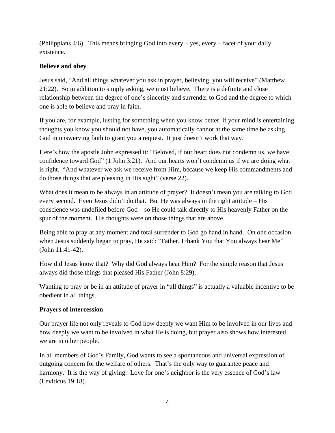(Philippians 4:6). This means bringing God into every – yes, every – facet of your daily existence.

# **Believe and obey**

Jesus said, "And all things whatever you ask in prayer, believing, you will receive" (Matthew 21:22). So in addition to simply asking, we must believe. There is a definite and close relationship between the degree of one's sincerity and surrender to God and the degree to which one is able to believe and pray in faith.

If you are, for example, lusting for something when you know better, if your mind is entertaining thoughts you know you should not have, you automatically cannot at the same time be asking God in unswerving faith to grant you a request. It just doesn't work that way.

Here's how the apostle John expressed it: "Beloved, if our heart does not condemn us, we have confidence toward God" (1 John 3:21). And our hearts won't condemn us if we are doing what is right. "And whatever we ask we receive from Him, because we keep His commandments and do those things that are pleasing in His sight" (verse 22).

What does it mean to be always in an attitude of prayer? It doesn't mean you are talking to God every second. Even Jesus didn't do that. But He was always in the right attitude – His conscience was undefiled before God – so He could talk directly to His heavenly Father on the spur of the moment. His thoughts were on those things that are above.

Being able to pray at any moment and total surrender to God go hand in hand. On one occasion when Jesus suddenly began to pray, He said: "Father, I thank You that You always hear Me" (John 11:41-42).

How did Jesus know that? Why did God always hear Him? For the simple reason that Jesus always did those things that pleased His Father (John 8:29).

Wanting to pray or be in an attitude of prayer in "all things" is actually a valuable incentive to be obedient in all things.

#### **Prayers of intercession**

Our prayer life not only reveals to God how deeply we want Him to be involved in our lives and how deeply we want to be involved in what He is doing, but prayer also shows how interested we are in other people.

In all members of God's Family, God wants to see a spontaneous and universal expression of outgoing concern for the welfare of others. That's the only way to guarantee peace and harmony. It is the way of giving. Love for one's neighbor is the very essence of God's law (Leviticus 19:18).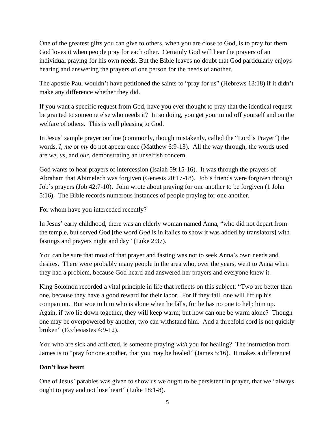One of the greatest gifts you can give to others, when you are close to God, is to pray for them. God loves it when people pray for each other. Certainly God will hear the prayers of an individual praying for his own needs. But the Bible leaves no doubt that God particularly enjoys hearing and answering the prayers of one person for the needs of another.

The apostle Paul wouldn't have petitioned the saints to "pray for us" (Hebrews 13:18) if it didn't make any difference whether they did.

If you want a specific request from God, have you ever thought to pray that the identical request be granted to someone else who needs it? In so doing, you get your mind off yourself and on the welfare of others. This is well pleasing to God.

In Jesus' sample prayer outline (commonly, though mistakenly, called the "Lord's Prayer") the words, *I, me* or *my* do not appear once (Matthew 6:9-13). All the way through, the words used are *we, us*, and *our*, demonstrating an unselfish concern.

God wants to hear prayers of intercession (Isaiah 59:15-16). It was through the prayers of Abraham that Abimelech was forgiven (Genesis 20:17-18). Job's friends were forgiven through Job's prayers (Job 42:7-10). John wrote about praying for one another to be forgiven (1 John 5:16). The Bible records numerous instances of people praying for one another.

For whom have you interceded recently?

In Jesus' early childhood, there was an elderly woman named Anna, "who did not depart from the temple, but served God [the word *God* is in italics to show it was added by translators] with fastings and prayers night and day" (Luke 2:37).

You can be sure that most of that prayer and fasting was not to seek Anna's own needs and desires. There were probably many people in the area who, over the years, went to Anna when they had a problem, because God heard and answered her prayers and everyone knew it.

King Solomon recorded a vital principle in life that reflects on this subject: "Two are better than one, because they have a good reward for their labor. For if they fall, one will lift up his companion. But woe to him who is alone when he falls, for he has no one to help him up. Again, if two lie down together, they will keep warm; but how can one be warm alone? Though one may be overpowered by another, two can withstand him. And a threefold cord is not quickly broken" (Ecclesiastes 4:9-12).

You who are sick and afflicted, is someone praying *with* you for healing? The instruction from James is to "pray for one another, that you may be healed" (James 5:16). It makes a difference!

# **Don't lose heart**

One of Jesus' parables was given to show us we ought to be persistent in prayer, that we "always ought to pray and not lose heart" (Luke 18:1-8).